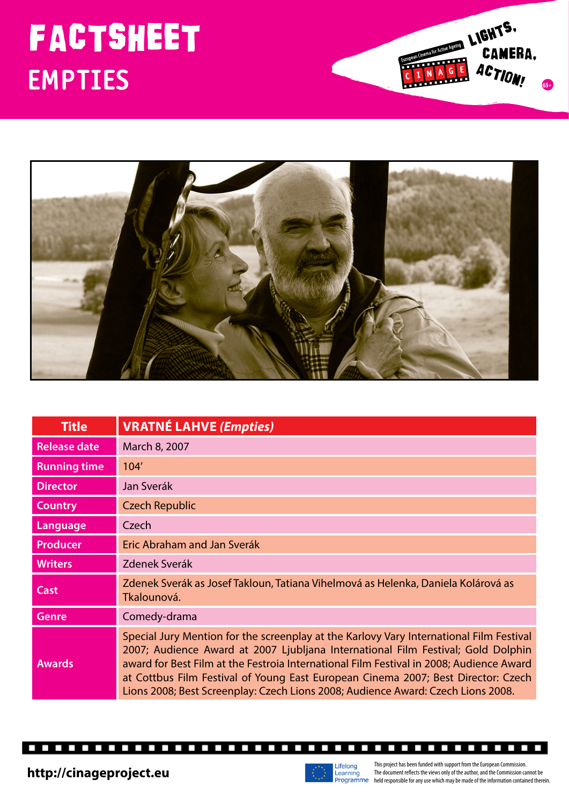## **EMPTIES**





| <b>Title</b>        | <b>VRATNÉ LAHVE (Empties)</b>                                                                                                                                                                                                                                                                                                                                                                                                                   |
|---------------------|-------------------------------------------------------------------------------------------------------------------------------------------------------------------------------------------------------------------------------------------------------------------------------------------------------------------------------------------------------------------------------------------------------------------------------------------------|
| <b>Release date</b> | March 8, 2007                                                                                                                                                                                                                                                                                                                                                                                                                                   |
| <b>Running time</b> | 104'                                                                                                                                                                                                                                                                                                                                                                                                                                            |
| <b>Director</b>     | Jan Sverák                                                                                                                                                                                                                                                                                                                                                                                                                                      |
| <b>Country</b>      | <b>Czech Republic</b>                                                                                                                                                                                                                                                                                                                                                                                                                           |
| Language            | Czech                                                                                                                                                                                                                                                                                                                                                                                                                                           |
| <b>Producer</b>     | Eric Abraham and Jan Sverák                                                                                                                                                                                                                                                                                                                                                                                                                     |
| <b>Writers</b>      | Zdenek Sverák                                                                                                                                                                                                                                                                                                                                                                                                                                   |
| <b>Cast</b>         | Zdenek Sverák as Josef Takloun, Tatiana Vihelmová as Helenka, Daniela Kolárová as<br>Tkalounová.                                                                                                                                                                                                                                                                                                                                                |
| <b>Genre</b>        | Comedy-drama                                                                                                                                                                                                                                                                                                                                                                                                                                    |
| <b>Awards</b>       | Special Jury Mention for the screenplay at the Karlovy Vary International Film Festival<br>2007; Audience Award at 2007 Ljubljana International Film Festival; Gold Dolphin<br>award for Best Film at the Festroia International Film Festival in 2008; Audience Award<br>at Cottbus Film Festival of Young East European Cinema 2007; Best Director: Czech<br>Lions 2008; Best Screenplay: Czech Lions 2008; Audience Award: Czech Lions 2008. |

П



г П П П Г П П Г Г П П Г L П П П г  $\overline{\phantom{0}}$ П

This project has been funded with support from the European Commission. The document reflects the views only of the author, and the Commission cannot be http://cinageproject.eu which may be made of the author, and the Curopean Commission.<br> **http://cinageproject.eu** entropy of the author, and the Commission cannot be programmer held responsible for any use which may be made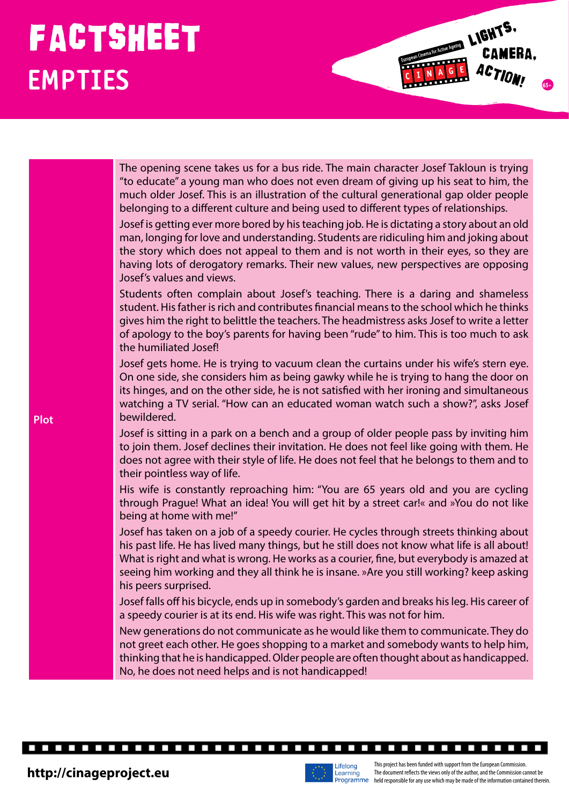## FACTSHEET LIGHTS. **EMPTIES**

| <b>Plot</b> | The opening scene takes us for a bus ride. The main character Josef Takloun is trying<br>"to educate" a young man who does not even dream of giving up his seat to him, the<br>much older Josef. This is an illustration of the cultural generational gap older people<br>belonging to a different culture and being used to different types of relationships.<br>Josef is getting ever more bored by his teaching job. He is dictating a story about an old<br>man, longing for love and understanding. Students are ridiculing him and joking about<br>the story which does not appeal to them and is not worth in their eyes, so they are<br>having lots of derogatory remarks. Their new values, new perspectives are opposing<br>Josef's values and views. |
|-------------|-----------------------------------------------------------------------------------------------------------------------------------------------------------------------------------------------------------------------------------------------------------------------------------------------------------------------------------------------------------------------------------------------------------------------------------------------------------------------------------------------------------------------------------------------------------------------------------------------------------------------------------------------------------------------------------------------------------------------------------------------------------------|
|             | Students often complain about Josef's teaching. There is a daring and shameless<br>student. His father is rich and contributes financial means to the school which he thinks<br>gives him the right to belittle the teachers. The headmistress asks Josef to write a letter<br>of apology to the boy's parents for having been "rude" to him. This is too much to ask<br>the humiliated Josef!                                                                                                                                                                                                                                                                                                                                                                  |
|             | Josef gets home. He is trying to vacuum clean the curtains under his wife's stern eye.<br>On one side, she considers him as being gawky while he is trying to hang the door on<br>its hinges, and on the other side, he is not satisfied with her ironing and simultaneous<br>watching a TV serial. "How can an educated woman watch such a show?", asks Josef<br>bewildered.                                                                                                                                                                                                                                                                                                                                                                                   |
|             | Josef is sitting in a park on a bench and a group of older people pass by inviting him<br>to join them. Josef declines their invitation. He does not feel like going with them. He<br>does not agree with their style of life. He does not feel that he belongs to them and to<br>their pointless way of life.                                                                                                                                                                                                                                                                                                                                                                                                                                                  |
|             | His wife is constantly reproaching him: "You are 65 years old and you are cycling<br>through Prague! What an idea! You will get hit by a street car!« and »You do not like<br>being at home with me!"                                                                                                                                                                                                                                                                                                                                                                                                                                                                                                                                                           |
|             | Josef has taken on a job of a speedy courier. He cycles through streets thinking about<br>his past life. He has lived many things, but he still does not know what life is all about!<br>What is right and what is wrong. He works as a courier, fine, but everybody is amazed at<br>seeing him working and they all think he is insane. »Are you still working? keep asking<br>his peers surprised.                                                                                                                                                                                                                                                                                                                                                            |
|             | Josef falls off his bicycle, ends up in somebody's garden and breaks his leg. His career of<br>a speedy courier is at its end. His wife was right. This was not for him.                                                                                                                                                                                                                                                                                                                                                                                                                                                                                                                                                                                        |
|             | New generations do not communicate as he would like them to communicate. They do<br>not greet each other. He goes shopping to a market and somebody wants to help him,<br>thinking that he is handicapped. Older people are often thought about as handicapped.<br>No, he does not need helps and is not handicapped!                                                                                                                                                                                                                                                                                                                                                                                                                                           |

П



**The Co** 

Г П  $\overline{\phantom{a}}$ 

L Г Г



. . . . . . . . .

Г п

**LIGHTS.**<br>CAMERA,<br>CAMERA,

 $\mathcal{L}$